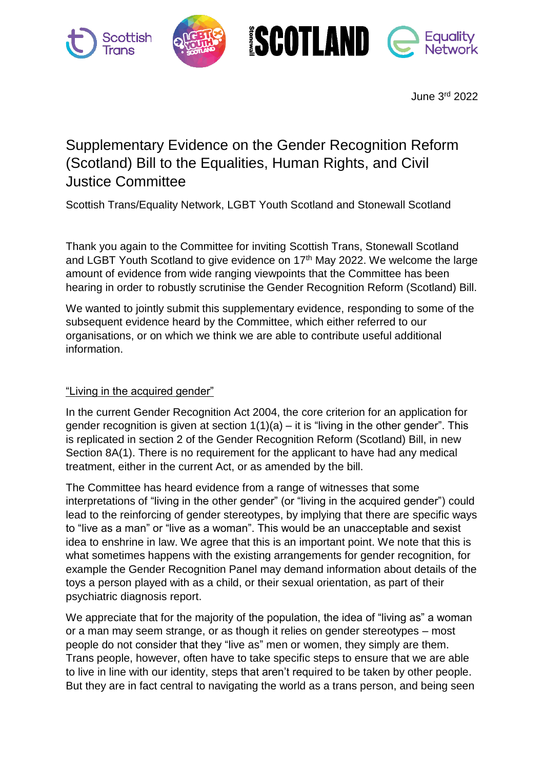

June 3rd 2022

## Supplementary Evidence on the Gender Recognition Reform (Scotland) Bill to the Equalities, Human Rights, and Civil Justice Committee

Scottish Trans/Equality Network, LGBT Youth Scotland and Stonewall Scotland

Thank you again to the Committee for inviting Scottish Trans, Stonewall Scotland and LGBT Youth Scotland to give evidence on 17<sup>th</sup> May 2022. We welcome the large amount of evidence from wide ranging viewpoints that the Committee has been hearing in order to robustly scrutinise the Gender Recognition Reform (Scotland) Bill.

We wanted to jointly submit this supplementary evidence, responding to some of the subsequent evidence heard by the Committee, which either referred to our organisations, or on which we think we are able to contribute useful additional information.

## "Living in the acquired gender"

In the current Gender Recognition Act 2004, the core criterion for an application for gender recognition is given at section  $1(1)(a) - it$  is "living in the other gender". This is replicated in section 2 of the Gender Recognition Reform (Scotland) Bill, in new Section 8A(1). There is no requirement for the applicant to have had any medical treatment, either in the current Act, or as amended by the bill.

The Committee has heard evidence from a range of witnesses that some interpretations of "living in the other gender" (or "living in the acquired gender") could lead to the reinforcing of gender stereotypes, by implying that there are specific ways to "live as a man" or "live as a woman". This would be an unacceptable and sexist idea to enshrine in law. We agree that this is an important point. We note that this is what sometimes happens with the existing arrangements for gender recognition, for example the Gender Recognition Panel may demand information about details of the toys a person played with as a child, or their sexual orientation, as part of their psychiatric diagnosis report.

We appreciate that for the majority of the population, the idea of "living as" a woman or a man may seem strange, or as though it relies on gender stereotypes – most people do not consider that they "live as" men or women, they simply are them. Trans people, however, often have to take specific steps to ensure that we are able to live in line with our identity, steps that aren't required to be taken by other people. But they are in fact central to navigating the world as a trans person, and being seen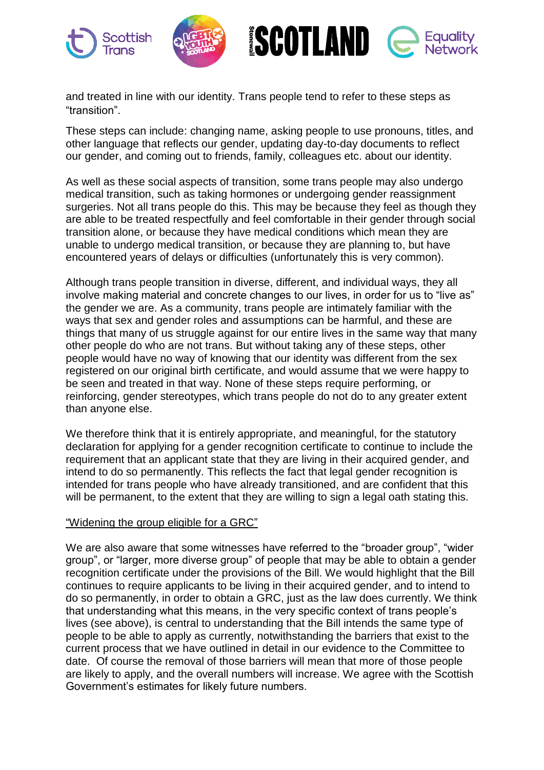

and treated in line with our identity. Trans people tend to refer to these steps as "transition".

These steps can include: changing name, asking people to use pronouns, titles, and other language that reflects our gender, updating day-to-day documents to reflect our gender, and coming out to friends, family, colleagues etc. about our identity.

As well as these social aspects of transition, some trans people may also undergo medical transition, such as taking hormones or undergoing gender reassignment surgeries. Not all trans people do this. This may be because they feel as though they are able to be treated respectfully and feel comfortable in their gender through social transition alone, or because they have medical conditions which mean they are unable to undergo medical transition, or because they are planning to, but have encountered years of delays or difficulties (unfortunately this is very common).

Although trans people transition in diverse, different, and individual ways, they all involve making material and concrete changes to our lives, in order for us to "live as" the gender we are. As a community, trans people are intimately familiar with the ways that sex and gender roles and assumptions can be harmful, and these are things that many of us struggle against for our entire lives in the same way that many other people do who are not trans. But without taking any of these steps, other people would have no way of knowing that our identity was different from the sex registered on our original birth certificate, and would assume that we were happy to be seen and treated in that way. None of these steps require performing, or reinforcing, gender stereotypes, which trans people do not do to any greater extent than anyone else.

We therefore think that it is entirely appropriate, and meaningful, for the statutory declaration for applying for a gender recognition certificate to continue to include the requirement that an applicant state that they are living in their acquired gender, and intend to do so permanently. This reflects the fact that legal gender recognition is intended for trans people who have already transitioned, and are confident that this will be permanent, to the extent that they are willing to sign a legal oath stating this.

## "Widening the group eligible for a GRC"

We are also aware that some witnesses have referred to the "broader group", "wider group", or "larger, more diverse group" of people that may be able to obtain a gender recognition certificate under the provisions of the Bill. We would highlight that the Bill continues to require applicants to be living in their acquired gender, and to intend to do so permanently, in order to obtain a GRC, just as the law does currently. We think that understanding what this means, in the very specific context of trans people's lives (see above), is central to understanding that the Bill intends the same type of people to be able to apply as currently, notwithstanding the barriers that exist to the current process that we have outlined in detail in our evidence to the Committee to date. Of course the removal of those barriers will mean that more of those people are likely to apply, and the overall numbers will increase. We agree with the Scottish Government's estimates for likely future numbers.